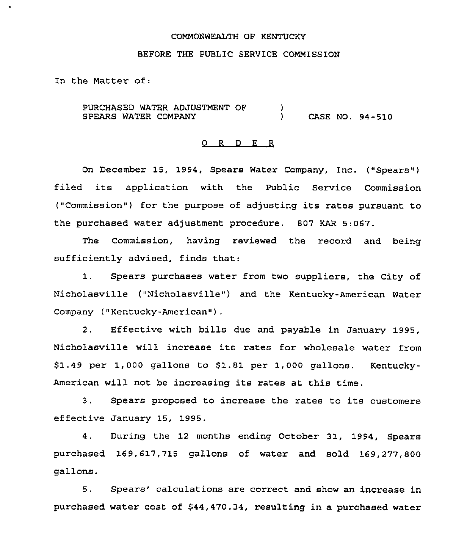### COMMONWEALTH OF KENTUCKY

### BEFORE THE PUBLIC SERVICE COMMISSION

In the Matter of:

PURCHASED WATER ADJUSTMENT OF SPEARS WATER COMPANY  $\frac{1}{2}$ ) CASE NO. 94-510

### 0 <sup>R</sup> <sup>D</sup> E R

On December 15, 1994, Spears Water Company, Inc. ("Spears") filed its application with the Public Service Commission ("Commission") for the purpose of adjusting its rates pursuant to the purchased water adjustment procedure. 807 KAR 5:067,

The Commission, having reviewed the record and being sufficiently advised, finds that:

1. Spears purchases water from two suppliers, the City of Nicholasville ("Nicholasville") and the Kentucky-American Water Company ("Kentucky-American").

2. Effective with bills due and payable in January 1995, Nicholasville will increase its rates for wholesale water from \$ 1.49 per 1,000 gallons to 81.81 per 1,000 gallons. Kentucky-American will not be increasing its rates at this time.

3. Spears proposed to increase the rates to its customers effective January 15, 1995.

4. During the 12 months ending October 31, 1994, Spears purchased 169,617,715 gallons of water and sold 169,277,800 gallons.

5. Spears' calculations are correct and show an increase in purchased water cost of \$44,470.34, resulting in a purchased water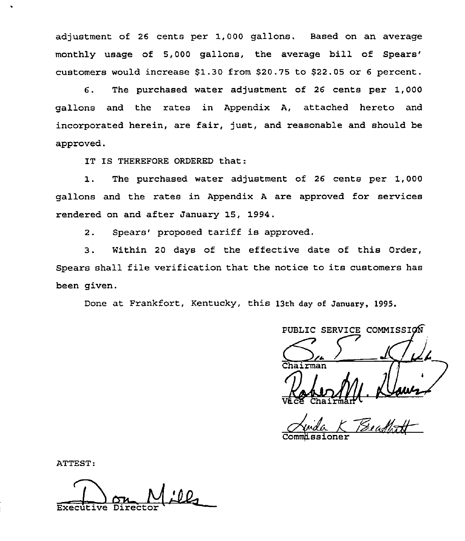adjustment of 26 cents per 1,000 gallons. Based on an average monthly usage of 5,000 gallons, the average bill of customers would increase  $$1.30$  from  $$20.75$  to  $$22.05$  or 6 percent.

6. The purchased water adjustment of 26 cents per 1,000 gallons and the rates in Appendix A, attached hereto and incorporated herein, are fair, just, and reasonable and should be approved.

IT IS THEREFORE ORDERED that:

1. The purchased water adjustment of <sup>26</sup> cents per 1,000 gallons and the rates in Appendix <sup>A</sup> are approved for services rendered on and after January 15, 1994.

2. Spears' proposed tariff is approved.

3. Within <sup>20</sup> days of the effective date of this Order, Spears shall file verification that the notice to its customers has been given.

Done at Frankfort, Kentucky, this 13th day of January, 1995.

PUBLIC SERVICE COMMISSIO Vace Chairman

Avida K Beadfatt Commissione

ATTEST:

Executive